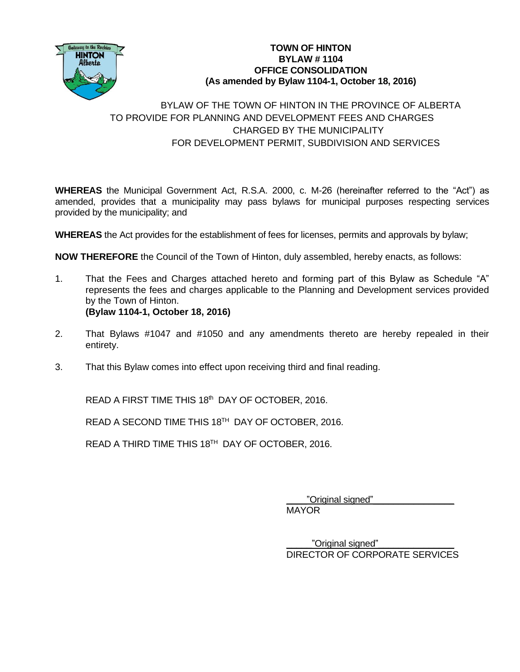

## **TOWN OF HINTON BYLAW # 1104 OFFICE CONSOLIDATION (As amended by Bylaw 1104-1, October 18, 2016)**

## BYLAW OF THE TOWN OF HINTON IN THE PROVINCE OF ALBERTA TO PROVIDE FOR PLANNING AND DEVELOPMENT FEES AND CHARGES CHARGED BY THE MUNICIPALITY FOR DEVELOPMENT PERMIT, SUBDIVISION AND SERVICES

**WHEREAS** the Municipal Government Act, R.S.A. 2000, c. M-26 (hereinafter referred to the "Act") as amended, provides that a municipality may pass bylaws for municipal purposes respecting services provided by the municipality; and

**WHEREAS** the Act provides for the establishment of fees for licenses, permits and approvals by bylaw;

**NOW THEREFORE** the Council of the Town of Hinton, duly assembled, hereby enacts, as follows:

- 1. That the Fees and Charges attached hereto and forming part of this Bylaw as Schedule "A" represents the fees and charges applicable to the Planning and Development services provided by the Town of Hinton. **(Bylaw 1104-1, October 18, 2016)**
- 2. That Bylaws #1047 and #1050 and any amendments thereto are hereby repealed in their entirety.
- 3. That this Bylaw comes into effect upon receiving third and final reading.

READ A FIRST TIME THIS 18<sup>th</sup> DAY OF OCTOBER, 2016.

READ A SECOND TIME THIS 18<sup>TH</sup> DAY OF OCTOBER, 2016.

READ A THIRD TIME THIS 18<sup>TH</sup> DAY OF OCTOBER, 2016.

\_\_\_\_"Original signed"\_\_\_\_\_\_\_\_\_\_\_\_\_\_\_\_

MAYOR

\_\_\_\_\_"Original signed"\_\_\_\_\_\_\_\_\_\_\_\_\_\_\_ DIRECTOR OF CORPORATE SERVICES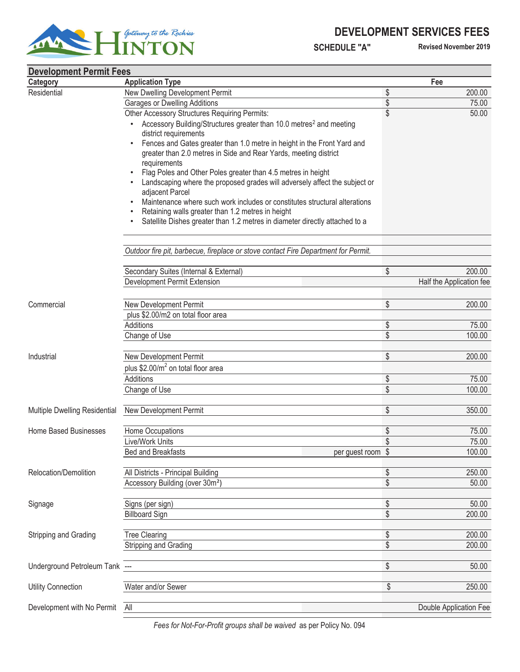## **DEVELOPMENT SERVICES FEES**



 **SCHEDULE "A" Revised November 2019**

| <b>Development Permit Fees</b> |                                                                                    |    |                          |
|--------------------------------|------------------------------------------------------------------------------------|----|--------------------------|
| Category                       | <b>Application Type</b>                                                            |    | Fee                      |
| Residential                    | New Dwelling Development Permit                                                    | \$ | 200.00                   |
|                                | <b>Garages or Dwelling Additions</b>                                               | \$ | 75.00                    |
|                                | Other Accessory Structures Requiring Permits:                                      | \$ | 50.00                    |
|                                | Accessory Building/Structures greater than 10.0 metres <sup>2</sup> and meeting    |    |                          |
|                                | district requirements                                                              |    |                          |
|                                | Fences and Gates greater than 1.0 metre in height in the Front Yard and            |    |                          |
|                                | greater than 2.0 metres in Side and Rear Yards, meeting district                   |    |                          |
|                                | requirements                                                                       |    |                          |
|                                | Flag Poles and Other Poles greater than 4.5 metres in height                       |    |                          |
|                                | Landscaping where the proposed grades will adversely affect the subject or         |    |                          |
|                                | adjacent Parcel                                                                    |    |                          |
|                                | Maintenance where such work includes or constitutes structural alterations         |    |                          |
|                                | Retaining walls greater than 1.2 metres in height                                  |    |                          |
|                                | Satellite Dishes greater than 1.2 metres in diameter directly attached to a        |    |                          |
|                                | Outdoor fire pit, barbecue, fireplace or stove contact Fire Department for Permit. |    |                          |
|                                |                                                                                    |    |                          |
|                                | Secondary Suites (Internal & External)                                             | \$ | 200.00                   |
|                                | <b>Development Permit Extension</b>                                                |    | Half the Application fee |
|                                |                                                                                    |    |                          |
| Commercial                     | New Development Permit                                                             | \$ | 200.00                   |
|                                | plus \$2.00/m2 on total floor area                                                 |    |                          |
|                                | Additions                                                                          | \$ | 75.00                    |
|                                | Change of Use                                                                      | \$ | 100.00                   |
| Industrial                     | New Development Permit                                                             | \$ | 200.00                   |
|                                | plus $$2.00/m2$ on total floor area                                                |    |                          |
|                                | Additions                                                                          | \$ | 75.00                    |
|                                | Change of Use                                                                      | \$ | 100.00                   |
|                                |                                                                                    |    |                          |
| Multiple Dwelling Residential  | New Development Permit                                                             | \$ | 350.00                   |
|                                |                                                                                    |    |                          |
| <b>Home Based Businesses</b>   | Home Occupations                                                                   | \$ | 75.00                    |
|                                | Live/Work Units                                                                    | \$ | 75.00                    |
|                                | <b>Bed and Breakfasts</b><br>per guest room \$                                     |    | 100.00                   |
| Relocation/Demolition          | All Districts - Principal Building                                                 | \$ | 250.00                   |
|                                | Accessory Building (over 30m <sup>2</sup> )                                        | \$ | 50.00                    |
|                                |                                                                                    |    |                          |
| Signage                        | Signs (per sign)                                                                   | \$ | 50.00                    |
|                                | <b>Billboard Sign</b>                                                              | \$ | 200.00                   |
|                                |                                                                                    |    |                          |
| Stripping and Grading          | <b>Tree Clearing</b>                                                               | \$ | 200.00                   |
|                                | Stripping and Grading                                                              | \$ | 200.00                   |
|                                |                                                                                    |    |                          |
| Underground Petroleum Tank --- |                                                                                    | \$ | 50.00                    |
| <b>Utility Connection</b>      | Water and/or Sewer                                                                 | \$ | 250.00                   |
|                                |                                                                                    |    |                          |
| Development with No Permit     | All                                                                                |    | Double Application Fee   |
|                                |                                                                                    |    |                          |

*Fees for Not-For-Profit groups shall be waived* as per Policy No. 094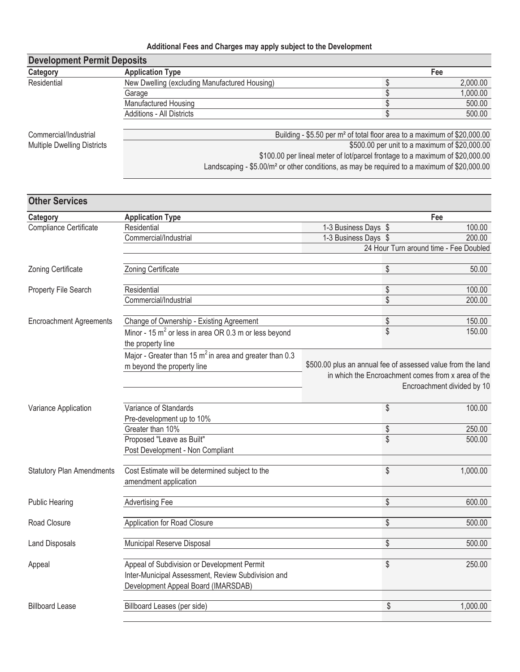## **Additional Fees and Charges may apply subject to the Development**

| <b>Development Permit Deposits</b> |                                                                                      |  |          |  |
|------------------------------------|--------------------------------------------------------------------------------------|--|----------|--|
| Category                           | <b>Application Type</b>                                                              |  | Fee      |  |
| Residential                        | New Dwelling (excluding Manufactured Housing)                                        |  | 2,000.00 |  |
|                                    | Garage                                                                               |  | 1,000.00 |  |
|                                    | <b>Manufactured Housing</b>                                                          |  | 500.00   |  |
|                                    | <b>Additions - All Districts</b>                                                     |  | 500.00   |  |
|                                    |                                                                                      |  |          |  |
| Commercial/Industrial              | Building - \$5.50 per m <sup>2</sup> of total floor area to a maximum of \$20,000.00 |  |          |  |
| <b>Multiple Dwelling Districts</b> | \$500.00 per unit to a maximum of \$20,000.00                                        |  |          |  |
|                                    | \$100.00 per lineal meter of lot/parcel frontage to a maximum of \$20,000.00         |  |          |  |

Landscaping - \$5.00/m² or other conditions, as may be required to a maximum of \$20,000.00

| <b>Other Services</b>            |                                                                                                                                          |                                                             |                 |                                                                                  |
|----------------------------------|------------------------------------------------------------------------------------------------------------------------------------------|-------------------------------------------------------------|-----------------|----------------------------------------------------------------------------------|
| Category                         | <b>Application Type</b>                                                                                                                  |                                                             |                 | Fee                                                                              |
| Compliance Certificate           | Residential                                                                                                                              | 1-3 Business Days \$                                        |                 | 100.00                                                                           |
|                                  | Commercial/Industrial                                                                                                                    | 1-3 Business Days \$                                        |                 | 200.00                                                                           |
|                                  |                                                                                                                                          |                                                             |                 | 24 Hour Turn around time - Fee Doubled                                           |
| Zoning Certificate               | Zoning Certificate                                                                                                                       |                                                             | \$              | 50.00                                                                            |
| Property File Search             | Residential                                                                                                                              |                                                             | \$              | 100.00                                                                           |
|                                  | Commercial/Industrial                                                                                                                    |                                                             | \$              | 200.00                                                                           |
| <b>Encroachment Agreements</b>   | Change of Ownership - Existing Agreement                                                                                                 |                                                             | \$              | 150.00                                                                           |
|                                  | Minor - 15 $m^2$ or less in area OR 0.3 m or less beyond<br>the property line                                                            |                                                             | \$              | 150.00                                                                           |
|                                  | Major - Greater than 15 $m^2$ in area and greater than 0.3<br>m beyond the property line                                                 | \$500.00 plus an annual fee of assessed value from the land |                 |                                                                                  |
|                                  |                                                                                                                                          |                                                             |                 | in which the Encroachment comes from x area of the<br>Encroachment divided by 10 |
| Variance Application             | Variance of Standards<br>Pre-development up to 10%                                                                                       |                                                             | \$              | 100.00                                                                           |
|                                  | Greater than 10%                                                                                                                         |                                                             | \$              | 250.00                                                                           |
|                                  | Proposed "Leave as Built"                                                                                                                |                                                             | $\overline{\$}$ | 500.00                                                                           |
|                                  | Post Development - Non Compliant                                                                                                         |                                                             |                 |                                                                                  |
| <b>Statutory Plan Amendments</b> | Cost Estimate will be determined subject to the<br>amendment application                                                                 |                                                             | \$              | 1,000.00                                                                         |
| <b>Public Hearing</b>            | <b>Advertising Fee</b>                                                                                                                   |                                                             | \$              | 600.00                                                                           |
| Road Closure                     | Application for Road Closure                                                                                                             |                                                             | \$              | 500.00                                                                           |
| <b>Land Disposals</b>            | Municipal Reserve Disposal                                                                                                               |                                                             | \$              | 500.00                                                                           |
| Appeal                           | Appeal of Subdivision or Development Permit<br>Inter-Municipal Assessment, Review Subdivision and<br>Development Appeal Board (IMARSDAB) |                                                             | \$              | 250.00                                                                           |
| <b>Billboard Lease</b>           | Billboard Leases (per side)                                                                                                              |                                                             | \$              | 1,000.00                                                                         |